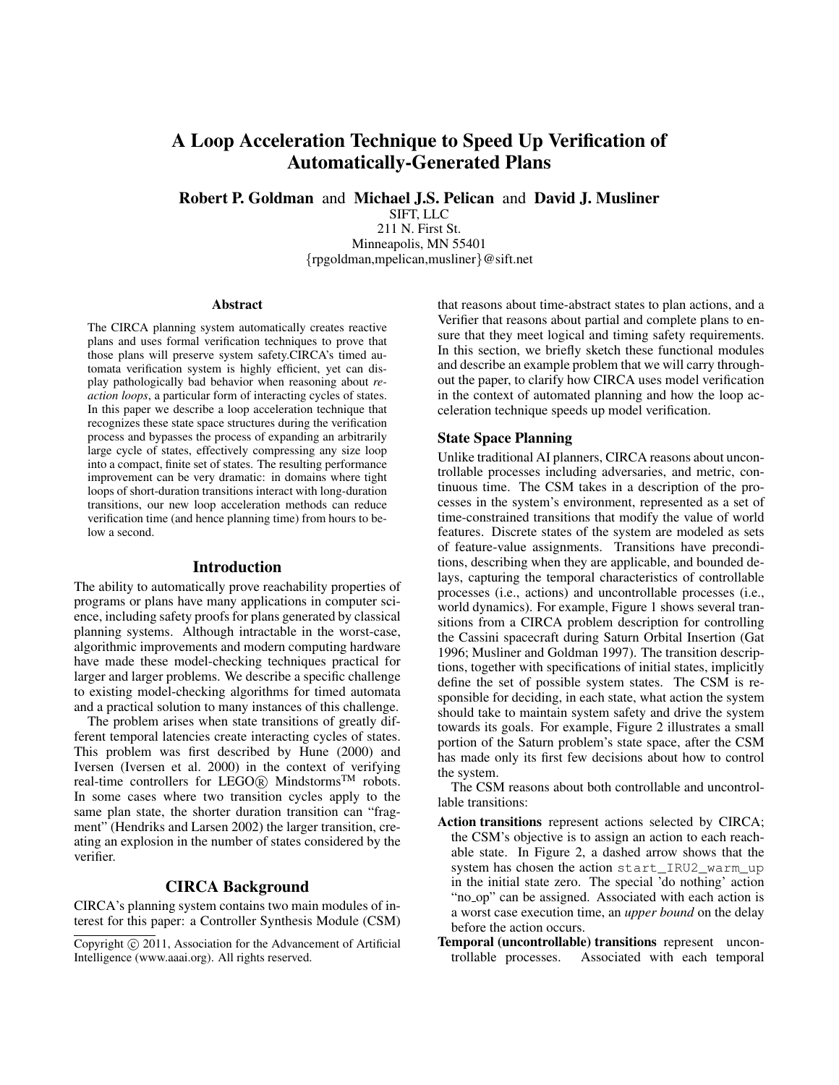# A Loop Acceleration Technique to Speed Up Verification of Automatically-Generated Plans

Robert P. Goldman and Michael J.S. Pelican and David J. Musliner

SIFT, LLC 211 N. First St. Minneapolis, MN 55401 {rpgoldman,mpelican,musliner}@sift.net

#### **Abstract**

The CIRCA planning system automatically creates reactive plans and uses formal verification techniques to prove that those plans will preserve system safety.CIRCA's timed automata verification system is highly efficient, yet can display pathologically bad behavior when reasoning about *reaction loops*, a particular form of interacting cycles of states. In this paper we describe a loop acceleration technique that recognizes these state space structures during the verification process and bypasses the process of expanding an arbitrarily large cycle of states, effectively compressing any size loop into a compact, finite set of states. The resulting performance improvement can be very dramatic: in domains where tight loops of short-duration transitions interact with long-duration transitions, our new loop acceleration methods can reduce verification time (and hence planning time) from hours to below a second.

#### Introduction

The ability to automatically prove reachability properties of programs or plans have many applications in computer science, including safety proofs for plans generated by classical planning systems. Although intractable in the worst-case, algorithmic improvements and modern computing hardware have made these model-checking techniques practical for larger and larger problems. We describe a specific challenge to existing model-checking algorithms for timed automata and a practical solution to many instances of this challenge.

The problem arises when state transitions of greatly different temporal latencies create interacting cycles of states. This problem was first described by Hune (2000) and Iversen (Iversen et al. 2000) in the context of verifying real-time controllers for LEGO® Mindstorms<sup>TM</sup> robots. In some cases where two transition cycles apply to the same plan state, the shorter duration transition can "fragment" (Hendriks and Larsen 2002) the larger transition, creating an explosion in the number of states considered by the verifier.

#### CIRCA Background

CIRCA's planning system contains two main modules of interest for this paper: a Controller Synthesis Module (CSM)

that reasons about time-abstract states to plan actions, and a Verifier that reasons about partial and complete plans to ensure that they meet logical and timing safety requirements. In this section, we briefly sketch these functional modules and describe an example problem that we will carry throughout the paper, to clarify how CIRCA uses model verification in the context of automated planning and how the loop acceleration technique speeds up model verification.

#### State Space Planning

Unlike traditional AI planners, CIRCA reasons about uncontrollable processes including adversaries, and metric, continuous time. The CSM takes in a description of the processes in the system's environment, represented as a set of time-constrained transitions that modify the value of world features. Discrete states of the system are modeled as sets of feature-value assignments. Transitions have preconditions, describing when they are applicable, and bounded delays, capturing the temporal characteristics of controllable processes (i.e., actions) and uncontrollable processes (i.e., world dynamics). For example, Figure 1 shows several transitions from a CIRCA problem description for controlling the Cassini spacecraft during Saturn Orbital Insertion (Gat 1996; Musliner and Goldman 1997). The transition descriptions, together with specifications of initial states, implicitly define the set of possible system states. The CSM is responsible for deciding, in each state, what action the system should take to maintain system safety and drive the system towards its goals. For example, Figure 2 illustrates a small portion of the Saturn problem's state space, after the CSM has made only its first few decisions about how to control the system.

The CSM reasons about both controllable and uncontrollable transitions:

- Action transitions represent actions selected by CIRCA; the CSM's objective is to assign an action to each reachable state. In Figure 2, a dashed arrow shows that the system has chosen the action start\_IRU2\_warm\_up in the initial state zero. The special 'do nothing' action "no<sub>-</sub>op" can be assigned. Associated with each action is a worst case execution time, an *upper bound* on the delay before the action occurs.
- Temporal (uncontrollable) transitions represent uncontrollable processes. Associated with each temporal

Copyright (c) 2011, Association for the Advancement of Artificial Intelligence (www.aaai.org). All rights reserved.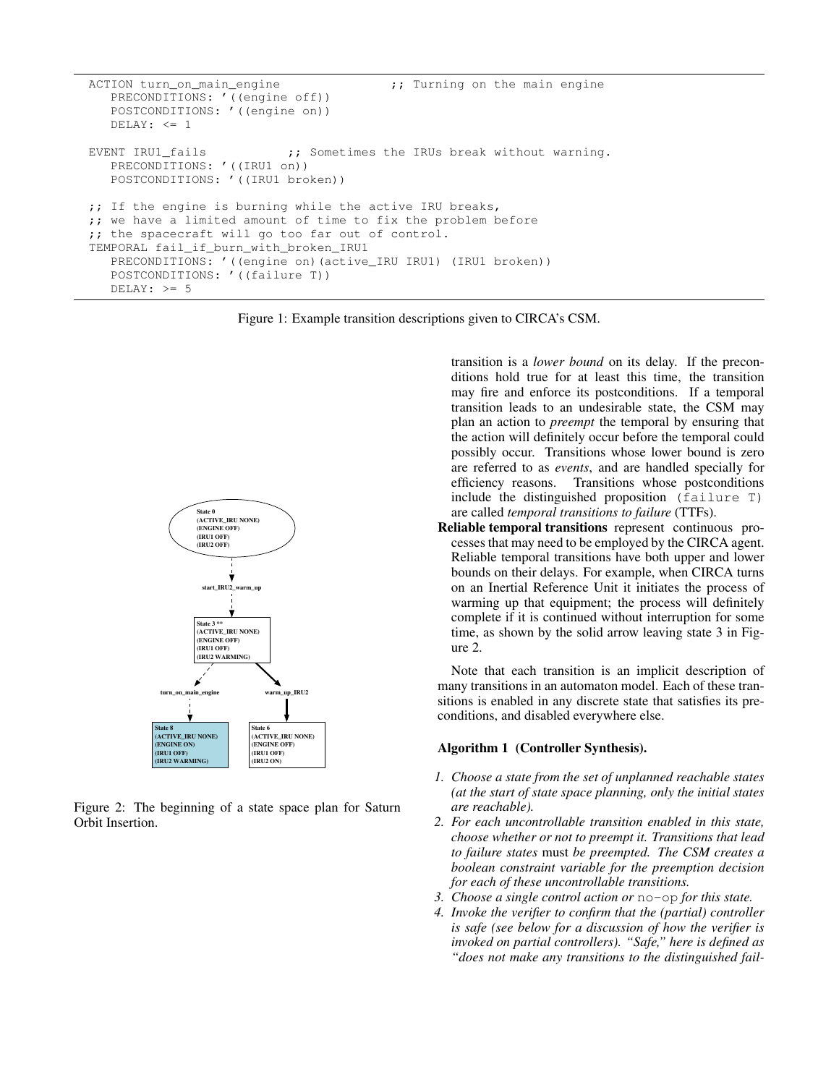```
ACTION turn_on_main_engine \qquad \qquad ; Turning on the main engine
  PRECONDITIONS: '((engine off))
  POSTCONDITIONS: '((engine on))
  DELAY: \leq 1EVENT IRU1_fails \qquad \qquad ; \qquad Sometimes the IRUs break without warning.
   PRECONDITIONS: '((IRU1 on))
  POSTCONDITIONS: '((IRU1 broken))
;; If the engine is burning while the active IRU breaks,
;; we have a limited amount of time to fix the problem before
;; the spacecraft will go too far out of control.
TEMPORAL fail_if_burn_with_broken_IRU1
   PRECONDITIONS: '((engine on)(active_IRU IRU1) (IRU1 broken))
   POSTCONDITIONS: '((failure T))
   DELAY: >= 5
```
Figure 1: Example transition descriptions given to CIRCA's CSM.



Figure 2: The beginning of a state space plan for Saturn Orbit Insertion.

transition is a *lower bound* on its delay. If the preconditions hold true for at least this time, the transition may fire and enforce its postconditions. If a temporal transition leads to an undesirable state, the CSM may plan an action to *preempt* the temporal by ensuring that the action will definitely occur before the temporal could possibly occur. Transitions whose lower bound is zero are referred to as *events*, and are handled specially for efficiency reasons. Transitions whose postconditions include the distinguished proposition (failure T) are called *temporal transitions to failure* (TTFs).

Reliable temporal transitions represent continuous processes that may need to be employed by the CIRCA agent. Reliable temporal transitions have both upper and lower bounds on their delays. For example, when CIRCA turns on an Inertial Reference Unit it initiates the process of warming up that equipment; the process will definitely complete if it is continued without interruption for some time, as shown by the solid arrow leaving state 3 in Figure 2.

Note that each transition is an implicit description of many transitions in an automaton model. Each of these transitions is enabled in any discrete state that satisfies its preconditions, and disabled everywhere else.

# Algorithm 1 (Controller Synthesis).

- *1. Choose a state from the set of unplanned reachable states (at the start of state space planning, only the initial states are reachable).*
- *2. For each uncontrollable transition enabled in this state, choose whether or not to preempt it. Transitions that lead to failure states* must *be preempted. The CSM creates a boolean constraint variable for the preemption decision for each of these uncontrollable transitions.*
- *3. Choose a single control action or* no-op *for this state.*
- *4. Invoke the verifier to confirm that the (partial) controller is safe (see below for a discussion of how the verifier is invoked on partial controllers). "Safe," here is defined as "does not make any transitions to the distinguished fail-*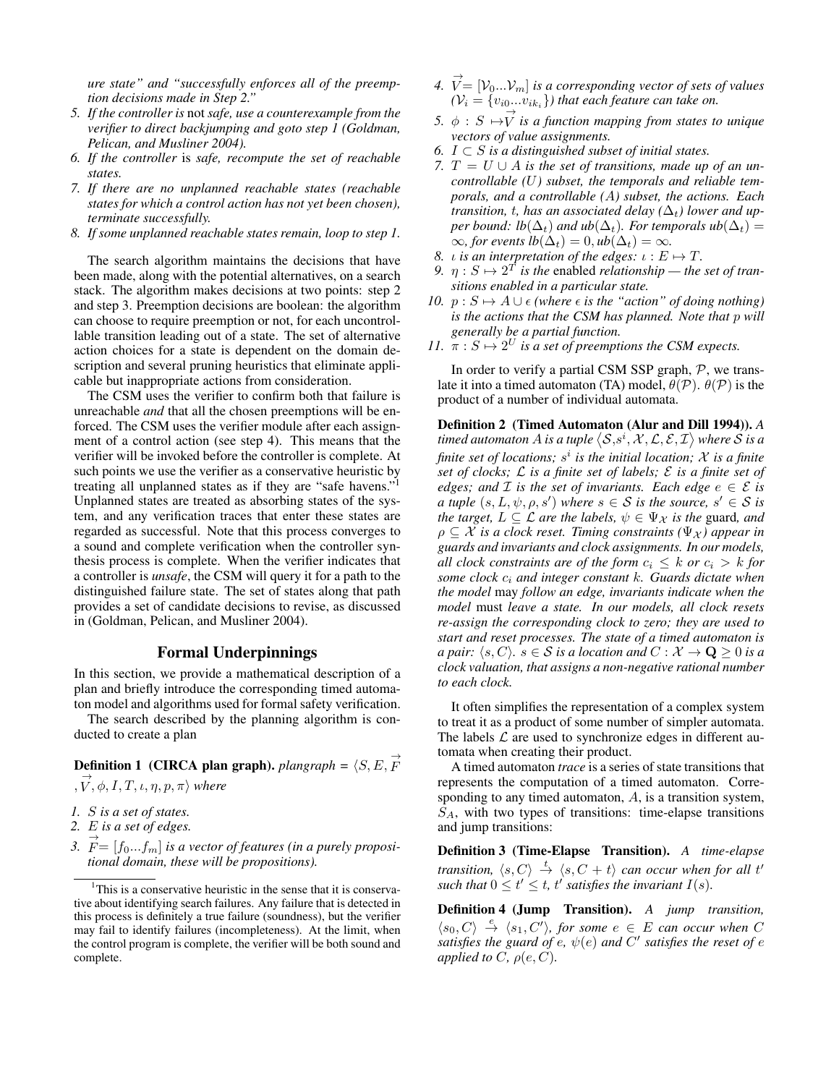*ure state" and "successfully enforces all of the preemption decisions made in Step 2."*

- *5. If the controller is* not *safe, use a counterexample from the verifier to direct backjumping and goto step 1 (Goldman, Pelican, and Musliner 2004).*
- *6. If the controller* is *safe, recompute the set of reachable states.*
- *7. If there are no unplanned reachable states (reachable states for which a control action has not yet been chosen), terminate successfully.*
- *8. If some unplanned reachable states remain, loop to step 1.*

The search algorithm maintains the decisions that have been made, along with the potential alternatives, on a search stack. The algorithm makes decisions at two points: step 2 and step 3. Preemption decisions are boolean: the algorithm can choose to require preemption or not, for each uncontrollable transition leading out of a state. The set of alternative action choices for a state is dependent on the domain description and several pruning heuristics that eliminate applicable but inappropriate actions from consideration.

The CSM uses the verifier to confirm both that failure is unreachable *and* that all the chosen preemptions will be enforced. The CSM uses the verifier module after each assignment of a control action (see step 4). This means that the verifier will be invoked before the controller is complete. At such points we use the verifier as a conservative heuristic by treating all unplanned states as if they are "safe havens."<sup>1</sup> Unplanned states are treated as absorbing states of the system, and any verification traces that enter these states are regarded as successful. Note that this process converges to a sound and complete verification when the controller synthesis process is complete. When the verifier indicates that a controller is *unsafe*, the CSM will query it for a path to the distinguished failure state. The set of states along that path provides a set of candidate decisions to revise, as discussed in (Goldman, Pelican, and Musliner 2004).

# Formal Underpinnings

In this section, we provide a mathematical description of a plan and briefly introduce the corresponding timed automaton model and algorithms used for formal safety verification.

The search described by the planning algorithm is conducted to create a plan

# **Definition 1** (CIRCA plan graph). *plangraph* =  $\langle S, E, \overrightarrow{F} \rangle$

 $,\overrightarrow{V},\phi,I,T,\iota,\eta,p,\pi\rangle$  where

- *1.* S *is a set of states.*
- *2.* E *is a set of edges.*
- 3.  $\overrightarrow{F} = [f_0...f_m]$  is a vector of features (in a purely proposi*tional domain, these will be propositions).*
- 4.  $\overrightarrow{V} = [\mathcal{V}_0...\mathcal{V}_m]$  is a corresponding vector of sets of values  $(V_i = \{v_{i0}...v_{ik_i}\})$  that each feature can take on.
- 5.  $\phi$  :  $S \mapsto V$  *is a function mapping from states to unique vectors of value assignments.*
- *6.*  $I \subset S$  *is a distinguished subset of initial states.*
- *7.*  $T = U \cup A$  *is the set of transitions, made up of an uncontrollable (*U*) subset, the temporals and reliable temporals, and a controllable (*A*) subset, the actions. Each transition, t, has an associated delay*  $(\Delta_t)$  *lower and upper bound: lb*( $\Delta_t$ ) *and ub*( $\Delta_t$ )*. For temporals ub*( $\Delta_t$ ) =  $\infty$ *, for events lb*( $\Delta_t$ ) = 0*, ub*( $\Delta_t$ ) =  $\infty$ *.*
- *8. ι is an interpretation of the edges:*  $\iota$  :  $E \mapsto T$ .
- 9.  $\eta: S \mapsto 2^T$  *is the* enabled *relationship the set of transitions enabled in a particular state.*
- *10.*  $p: S \mapsto A \cup \epsilon$  (where  $\epsilon$  *is the "action" of doing nothing*) *is the actions that the CSM has planned. Note that*  $p$  will *generally be a partial function.*
- 11.  $\pi : S \mapsto 2^U$  *is a set of preemptions the CSM expects.*

In order to verify a partial CSM SSP graph,  $P$ , we translate it into a timed automaton (TA) model,  $\theta(\mathcal{P})$ .  $\theta(\mathcal{P})$  is the product of a number of individual automata.

Definition 2 (Timed Automaton (Alur and Dill 1994)). *A* timed automaton A is a tuple  $\langle \mathcal{S}, s^i, \mathcal{X}, \mathcal{L}, \mathcal{E}, \mathcal{I}\rangle$  where  $\mathcal S$  is a *finite set of locations;*  $s^i$  *is the initial location;*  $\mathcal X$  *is a finite set of clocks;* L *is a finite set of labels;* E *is a finite set of edges; and*  $\mathcal{I}$  *is the set of invariants. Each edge*  $e \in \mathcal{E}$  *is a tuple*  $(s, L, \psi, \rho, s')$  *where*  $s \in S$  *is the source,*  $s' \in S$  *is the target,*  $L \subseteq \mathcal{L}$  *are the labels,*  $\psi \in \Psi_{\mathcal{X}}$  *is the guard, and*  $\rho \subseteq \mathcal{X}$  *is a clock reset. Timing constraints* ( $\Psi_{\mathcal{X}}$ ) appear in *guards and invariants and clock assignments. In our models, all clock constraints are of the form*  $c_i \leq k$  *or*  $c_i > k$  *for some clock* c<sup>i</sup> *and integer constant* k*. Guards dictate when the model* may *follow an edge, invariants indicate when the model* must *leave a state. In our models, all clock resets re-assign the corresponding clock to zero; they are used to start and reset processes. The state of a timed automaton is a pair:*  $\langle s, C \rangle$ *.*  $s \in S$  *is a location and*  $C : \mathcal{X} \to \mathbf{Q} \geq 0$  *is a clock valuation, that assigns a non-negative rational number to each clock.*

It often simplifies the representation of a complex system to treat it as a product of some number of simpler automata. The labels  $\mathcal L$  are used to synchronize edges in different automata when creating their product.

A timed automaton *trace* is a series of state transitions that represents the computation of a timed automaton. Corresponding to any timed automaton, A, is a transition system,  $S_A$ , with two types of transitions: time-elapse transitions and jump transitions:

Definition 3 (Time-Elapse Transition). *A time-elapse* transition,  $\langle s, C \rangle \stackrel{t}{\rightarrow} \langle s, C + t \rangle$  can occur when for all t<sup>'</sup> *such that*  $0 \le t' \le t$ ,  $t'$  *satisfies the invariant*  $I(s)$ *.* 

Definition 4 (Jump Transition). *A jump transition,*  $\langle s_0, C \rangle \stackrel{e}{\rightarrow} \langle s_1, C' \rangle$ , for some  $e \in E$  can occur when C *satisfies the guard of e,*  $\psi(e)$  *and C' satisfies the reset of e applied to C,*  $\rho(e, C)$ *.* 

<sup>&</sup>lt;sup>1</sup>This is a conservative heuristic in the sense that it is conservative about identifying search failures. Any failure that is detected in this process is definitely a true failure (soundness), but the verifier may fail to identify failures (incompleteness). At the limit, when the control program is complete, the verifier will be both sound and complete.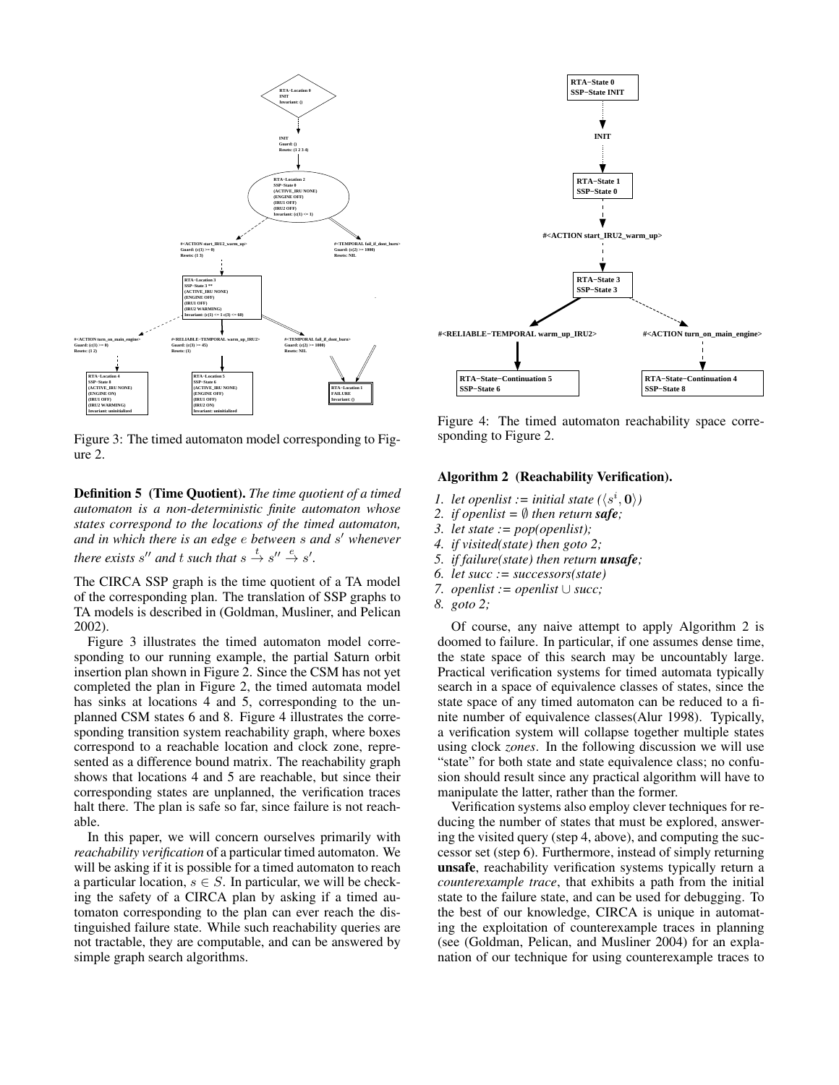

Figure 3: The timed automaton model corresponding to Figure 2.

Definition 5 (Time Quotient). *The time quotient of a timed automaton is a non-deterministic finite automaton whose states correspond to the locations of the timed automaton, and in which there is an edge* e *between* s *and* s <sup>0</sup> *whenever there exists*  $s''$  *and t such that*  $s \stackrel{t}{\rightarrow} s'' \stackrel{e}{\rightarrow} s'$ .

The CIRCA SSP graph is the time quotient of a TA model of the corresponding plan. The translation of SSP graphs to TA models is described in (Goldman, Musliner, and Pelican 2002).

Figure 3 illustrates the timed automaton model corresponding to our running example, the partial Saturn orbit insertion plan shown in Figure 2. Since the CSM has not yet completed the plan in Figure 2, the timed automata model has sinks at locations 4 and 5, corresponding to the unplanned CSM states 6 and 8. Figure 4 illustrates the corresponding transition system reachability graph, where boxes correspond to a reachable location and clock zone, represented as a difference bound matrix. The reachability graph shows that locations 4 and 5 are reachable, but since their corresponding states are unplanned, the verification traces halt there. The plan is safe so far, since failure is not reachable.

In this paper, we will concern ourselves primarily with *reachability verification* of a particular timed automaton. We will be asking if it is possible for a timed automaton to reach a particular location,  $s \in S$ . In particular, we will be checking the safety of a CIRCA plan by asking if a timed automaton corresponding to the plan can ever reach the distinguished failure state. While such reachability queries are not tractable, they are computable, and can be answered by simple graph search algorithms.



Figure 4: The timed automaton reachability space corresponding to Figure 2.

#### Algorithm 2 (Reachability Verification).

- *1. let openlist := initial state*  $(\langle s^i, \mathbf{0} \rangle)$
- 2. *if openlist* =  $\emptyset$  *then return safe*;
- *3. let state := pop(openlist);*
- *4. if visited(state) then goto 2;*
- *5. if failure(state) then return unsafe;*
- *6. let succ := successors(state)*
- *7. openlist := openlist* ∪ *succ;*
- *8. goto 2;*

Of course, any naive attempt to apply Algorithm 2 is doomed to failure. In particular, if one assumes dense time, the state space of this search may be uncountably large. Practical verification systems for timed automata typically search in a space of equivalence classes of states, since the state space of any timed automaton can be reduced to a finite number of equivalence classes(Alur 1998). Typically, a verification system will collapse together multiple states using clock *zones*. In the following discussion we will use "state" for both state and state equivalence class; no confusion should result since any practical algorithm will have to manipulate the latter, rather than the former.

Verification systems also employ clever techniques for reducing the number of states that must be explored, answering the visited query (step 4, above), and computing the successor set (step 6). Furthermore, instead of simply returning unsafe, reachability verification systems typically return a *counterexample trace*, that exhibits a path from the initial state to the failure state, and can be used for debugging. To the best of our knowledge, CIRCA is unique in automating the exploitation of counterexample traces in planning (see (Goldman, Pelican, and Musliner 2004) for an explanation of our technique for using counterexample traces to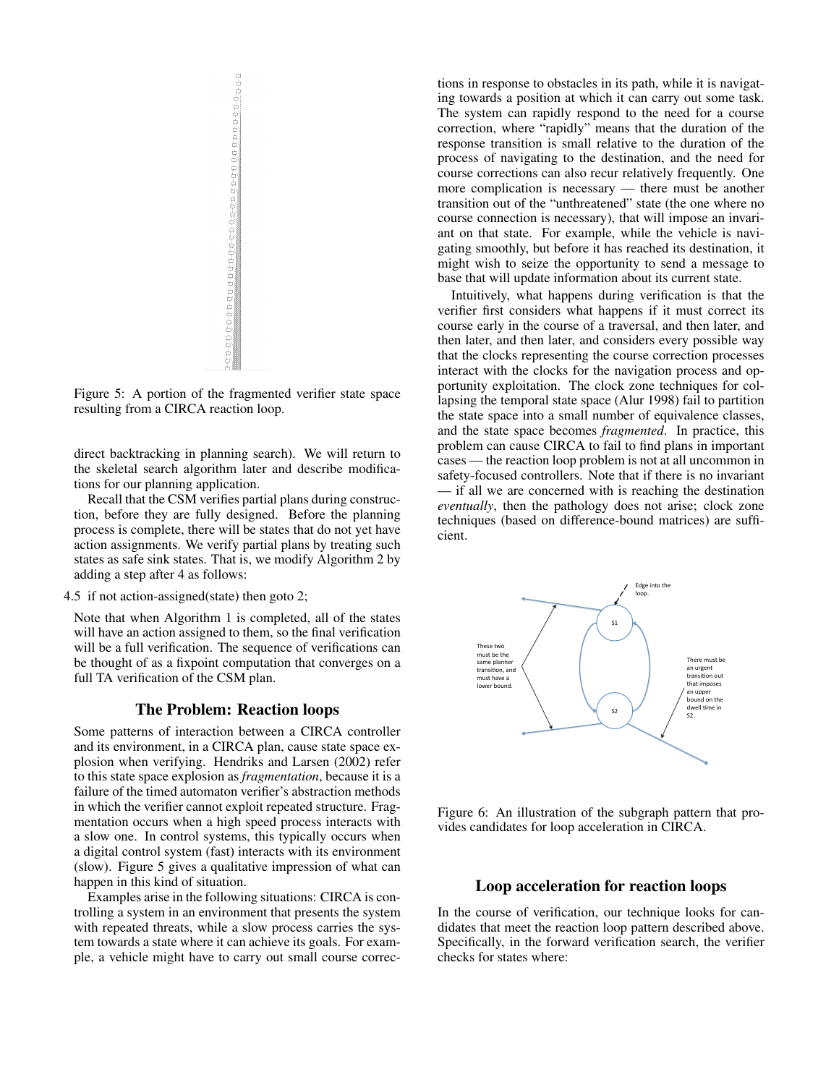

Figure 5: A portion of the fragmented verifier state space resulting from a CIRCA reaction loop.

direct backtracking in planning search). We will return to the skeletal search algorithm later and describe modifications for our planning application.

Recall that the CSM verifies partial plans during construction, before they are fully designed. Before the planning process is complete, there will be states that do not yet have action assignments. We verify partial plans by treating such states as safe sink states. That is, we modify Algorithm 2 by adding a step after 4 as follows:

## 4.5 if not action-assigned(state) then goto 2;

Note that when Algorithm 1 is completed, all of the states will have an action assigned to them, so the final verification will be a full verification. The sequence of verifications can be thought of as a fixpoint computation that converges on a full TA verification of the CSM plan.

# The Problem: Reaction loops

Some patterns of interaction between a CIRCA controller and its environment, in a CIRCA plan, cause state space explosion when verifying. Hendriks and Larsen (2002) refer to this state space explosion as *fragmentation*, because it is a failure of the timed automaton verifier's abstraction methods in which the verifier cannot exploit repeated structure. Fragmentation occurs when a high speed process interacts with a slow one. In control systems, this typically occurs when a digital control system (fast) interacts with its environment (slow). Figure 5 gives a qualitative impression of what can happen in this kind of situation.

Examples arise in the following situations: CIRCA is controlling a system in an environment that presents the system with repeated threats, while a slow process carries the system towards a state where it can achieve its goals. For example, a vehicle might have to carry out small course correc-

tions in response to obstacles in its path, while it is navigating towards a position at which it can carry out some task. The system can rapidly respond to the need for a course correction, where "rapidly" means that the duration of the response transition is small relative to the duration of the process of navigating to the destination, and the need for course corrections can also recur relatively frequently. One more complication is necessary — there must be another transition out of the "unthreatened" state (the one where no course connection is necessary), that will impose an invariant on that state. For example, while the vehicle is navigating smoothly, but before it has reached its destination, it might wish to seize the opportunity to send a message to base that will update information about its current state.

Intuitively, what happens during verification is that the verifier first considers what happens if it must correct its course early in the course of a traversal, and then later, and then later, and then later, and considers every possible way that the clocks representing the course correction processes interact with the clocks for the navigation process and opportunity exploitation. The clock zone techniques for collapsing the temporal state space (Alur 1998) fail to partition the state space into a small number of equivalence classes, and the state space becomes *fragmented*. In practice, this problem can cause CIRCA to fail to find plans in important cases — the reaction loop problem is not at all uncommon in safety-focused controllers. Note that if there is no invariant — if all we are concerned with is reaching the destination *eventually*, then the pathology does not arise; clock zone techniques (based on difference-bound matrices) are sufficient.



Figure 6: An illustration of the subgraph pattern that provides candidates for loop acceleration in CIRCA.

## Loop acceleration for reaction loops

In the course of verification, our technique looks for candidates that meet the reaction loop pattern described above. Specifically, in the forward verification search, the verifier checks for states where: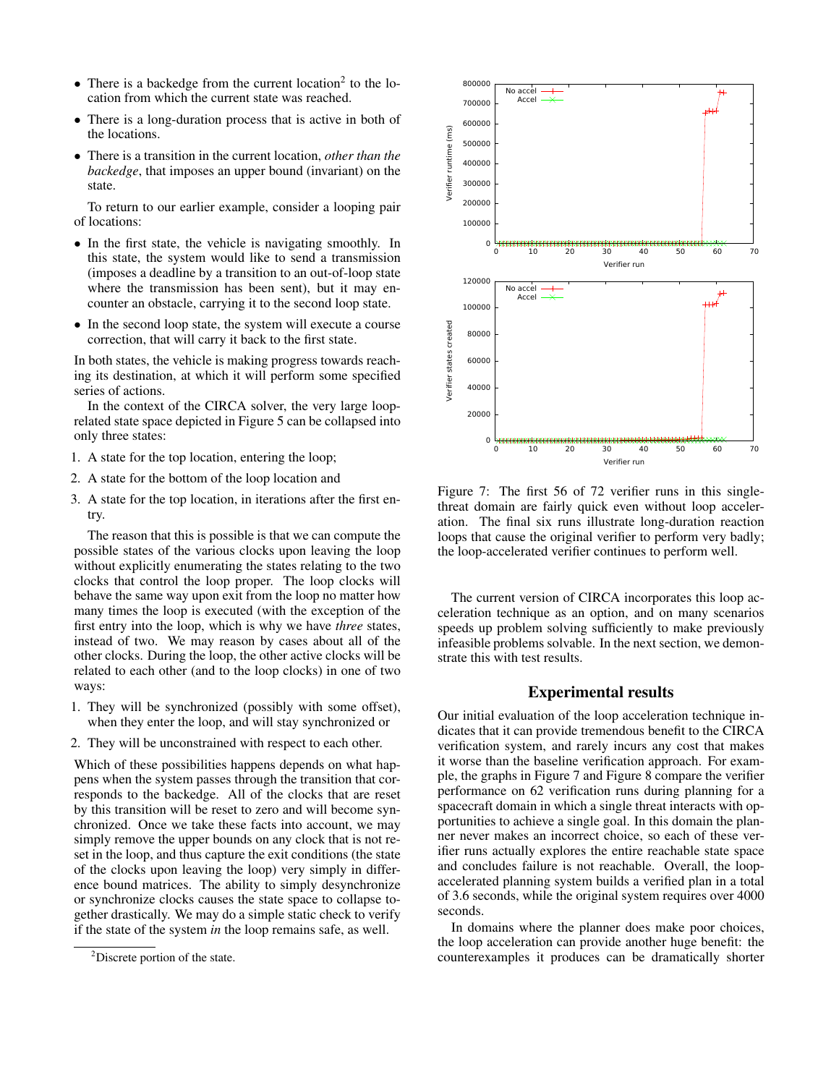- There is a backedge from the current location<sup>2</sup> to the location from which the current state was reached.
- There is a long-duration process that is active in both of the locations.
- There is a transition in the current location, *other than the backedge*, that imposes an upper bound (invariant) on the state.

To return to our earlier example, consider a looping pair of locations:

- In the first state, the vehicle is navigating smoothly. In this state, the system would like to send a transmission (imposes a deadline by a transition to an out-of-loop state where the transmission has been sent), but it may encounter an obstacle, carrying it to the second loop state.
- In the second loop state, the system will execute a course correction, that will carry it back to the first state.

In both states, the vehicle is making progress towards reaching its destination, at which it will perform some specified series of actions.

In the context of the CIRCA solver, the very large looprelated state space depicted in Figure 5 can be collapsed into only three states:

- 1. A state for the top location, entering the loop;
- 2. A state for the bottom of the loop location and
- 3. A state for the top location, in iterations after the first entry.

The reason that this is possible is that we can compute the possible states of the various clocks upon leaving the loop without explicitly enumerating the states relating to the two clocks that control the loop proper. The loop clocks will behave the same way upon exit from the loop no matter how many times the loop is executed (with the exception of the first entry into the loop, which is why we have *three* states, instead of two. We may reason by cases about all of the other clocks. During the loop, the other active clocks will be related to each other (and to the loop clocks) in one of two ways:

- 1. They will be synchronized (possibly with some offset), when they enter the loop, and will stay synchronized or
- 2. They will be unconstrained with respect to each other.

Which of these possibilities happens depends on what happens when the system passes through the transition that corresponds to the backedge. All of the clocks that are reset by this transition will be reset to zero and will become synchronized. Once we take these facts into account, we may simply remove the upper bounds on any clock that is not reset in the loop, and thus capture the exit conditions (the state of the clocks upon leaving the loop) very simply in difference bound matrices. The ability to simply desynchronize or synchronize clocks causes the state space to collapse together drastically. We may do a simple static check to verify if the state of the system *in* the loop remains safe, as well.



Figure 7: The first 56 of 72 verifier runs in this singlethreat domain are fairly quick even without loop acceleration. The final six runs illustrate long-duration reaction loops that cause the original verifier to perform very badly; the loop-accelerated verifier continues to perform well.

The current version of CIRCA incorporates this loop acceleration technique as an option, and on many scenarios speeds up problem solving sufficiently to make previously infeasible problems solvable. In the next section, we demonstrate this with test results.

# Experimental results

Our initial evaluation of the loop acceleration technique indicates that it can provide tremendous benefit to the CIRCA verification system, and rarely incurs any cost that makes it worse than the baseline verification approach. For example, the graphs in Figure 7 and Figure 8 compare the verifier performance on 62 verification runs during planning for a spacecraft domain in which a single threat interacts with opportunities to achieve a single goal. In this domain the planner never makes an incorrect choice, so each of these verifier runs actually explores the entire reachable state space and concludes failure is not reachable. Overall, the loopaccelerated planning system builds a verified plan in a total of 3.6 seconds, while the original system requires over 4000 seconds.

In domains where the planner does make poor choices, the loop acceleration can provide another huge benefit: the counterexamples it produces can be dramatically shorter

<sup>&</sup>lt;sup>2</sup>Discrete portion of the state.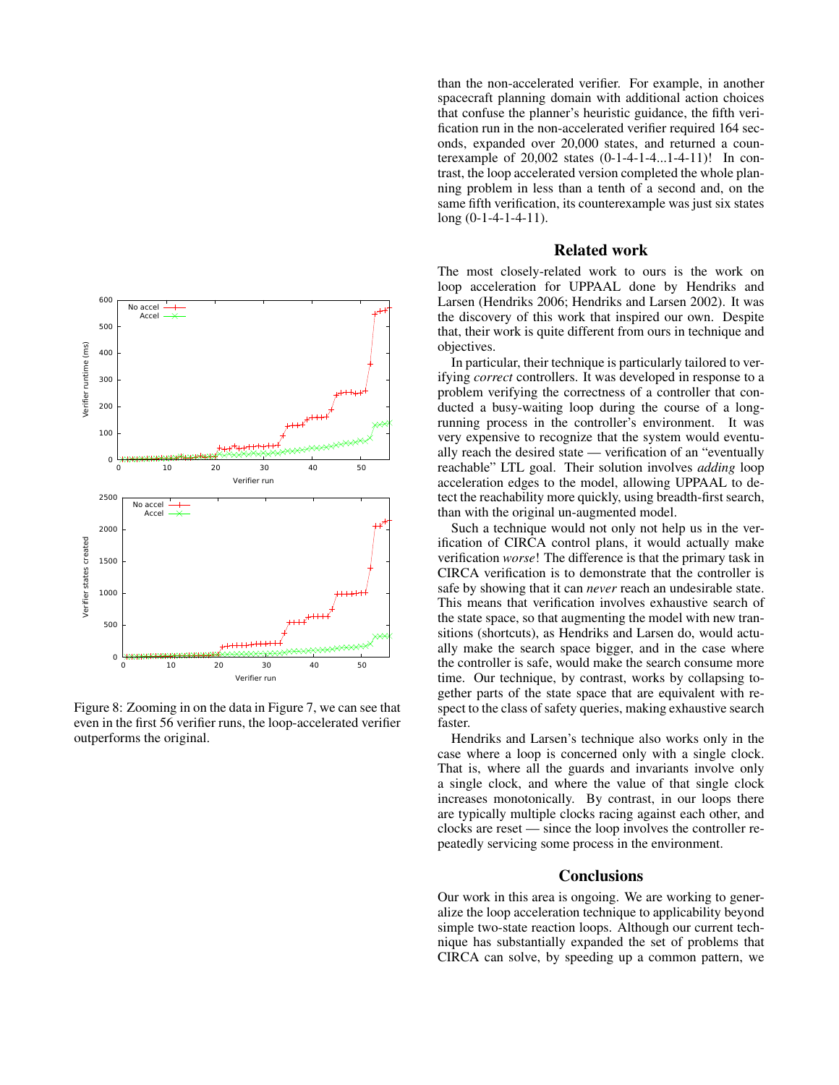

Figure 8: Zooming in on the data in Figure 7, we can see that even in the first 56 verifier runs, the loop-accelerated verifier outperforms the original.

than the non-accelerated verifier. For example, in another spacecraft planning domain with additional action choices that confuse the planner's heuristic guidance, the fifth verification run in the non-accelerated verifier required 164 seconds, expanded over 20,000 states, and returned a counterexample of 20,002 states (0-1-4-1-4...1-4-11)! In contrast, the loop accelerated version completed the whole planning problem in less than a tenth of a second and, on the same fifth verification, its counterexample was just six states long (0-1-4-1-4-11).

#### Related work

The most closely-related work to ours is the work on loop acceleration for UPPAAL done by Hendriks and Larsen (Hendriks 2006; Hendriks and Larsen 2002). It was the discovery of this work that inspired our own. Despite that, their work is quite different from ours in technique and objectives.

In particular, their technique is particularly tailored to verifying *correct* controllers. It was developed in response to a problem verifying the correctness of a controller that conducted a busy-waiting loop during the course of a longrunning process in the controller's environment. It was very expensive to recognize that the system would eventually reach the desired state — verification of an "eventually reachable" LTL goal. Their solution involves *adding* loop acceleration edges to the model, allowing UPPAAL to detect the reachability more quickly, using breadth-first search, than with the original un-augmented model.

Such a technique would not only not help us in the verification of CIRCA control plans, it would actually make verification *worse*! The difference is that the primary task in CIRCA verification is to demonstrate that the controller is safe by showing that it can *never* reach an undesirable state. This means that verification involves exhaustive search of the state space, so that augmenting the model with new transitions (shortcuts), as Hendriks and Larsen do, would actually make the search space bigger, and in the case where the controller is safe, would make the search consume more time. Our technique, by contrast, works by collapsing together parts of the state space that are equivalent with respect to the class of safety queries, making exhaustive search faster.

Hendriks and Larsen's technique also works only in the case where a loop is concerned only with a single clock. That is, where all the guards and invariants involve only a single clock, and where the value of that single clock increases monotonically. By contrast, in our loops there are typically multiple clocks racing against each other, and clocks are reset — since the loop involves the controller repeatedly servicing some process in the environment.

#### **Conclusions**

Our work in this area is ongoing. We are working to generalize the loop acceleration technique to applicability beyond simple two-state reaction loops. Although our current technique has substantially expanded the set of problems that CIRCA can solve, by speeding up a common pattern, we